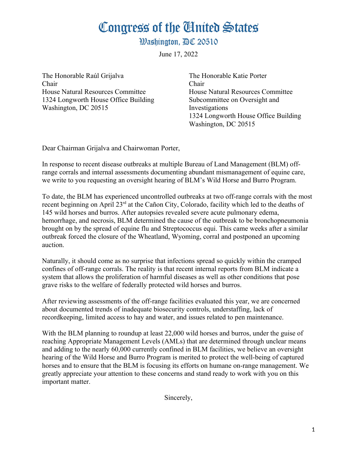## Congress of the Ginited States

**Washington. AC 20510** 

June 17, 2022

The Honorable Raúl Grijalva Chair House Natural Resources Committee 1324 Longworth House Office Building Washington, DC 20515

The Honorable Katie Porter Chair House Natural Resources Committee Subcommittee on Oversight and Investigations 1324 Longworth House Office Building Washington, DC 20515

Dear Chairman Grijalva and Chairwoman Porter,

In response to recent disease outbreaks at multiple Bureau of Land Management (BLM) offrange corrals and internal assessments documenting abundant mismanagement of equine care, we write to you requesting an oversight hearing of BLM's Wild Horse and Burro Program.

To date, the BLM has experienced uncontrolled outbreaks at two off-range corrals with the most recent beginning on April 23<sup>rd</sup> at the Cañon City, Colorado, facility which led to the deaths of 145 wild horses and burros. After autopsies revealed severe acute pulmonary edema, hemorrhage, and necrosis, BLM determined the cause of the outbreak to be bronchopneumonia brought on by the spread of equine flu and Streptococcus equi. This came weeks after a similar outbreak forced the closure of the Wheatland, Wyoming, corral and postponed an upcoming auction.

Naturally, it should come as no surprise that infections spread so quickly within the cramped confines of off-range corrals. The reality is that recent internal reports from BLM indicate a system that allows the proliferation of harmful diseases as well as other conditions that pose grave risks to the welfare of federally protected wild horses and burros.

After reviewing assessments of the off-range facilities evaluated this year, we are concerned about documented trends of inadequate biosecurity controls, understaffing, lack of recordkeeping, limited access to hay and water, and issues related to pen maintenance.

With the BLM planning to roundup at least 22,000 wild horses and burros, under the guise of reaching Appropriate Management Levels (AMLs) that are determined through unclear means and adding to the nearly 60,000 currently confined in BLM facilities, we believe an oversight hearing of the Wild Horse and Burro Program is merited to protect the well-being of captured horses and to ensure that the BLM is focusing its efforts on humane on-range management. We greatly appreciate your attention to these concerns and stand ready to work with you on this important matter.

Sincerely,